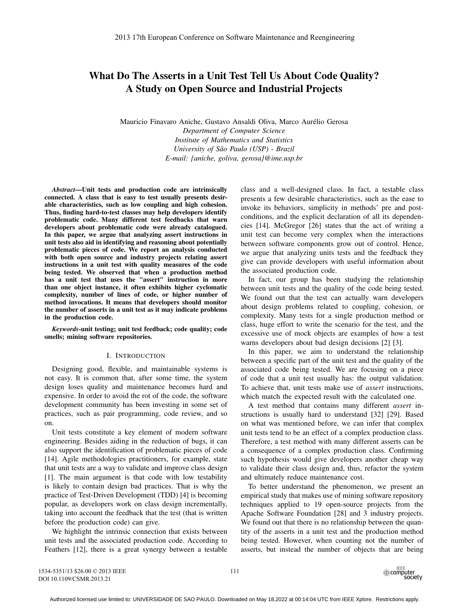# What Do The Asserts in a Unit Test Tell Us About Code Quality? A Study on Open Source and Industrial Projects

Mauricio Finavaro Aniche, Gustavo Ansaldi Oliva, Marco Aurélio Gerosa *Department of Computer Science Institute of Mathematics and Statistics University of São Paulo (USP) - Brazil E-mail: {aniche, goliva, gerosa}@ime.usp.br*

*Abstract*—Unit tests and production code are intrinsically connected. A class that is easy to test usually presents desirable characteristics, such as low coupling and high cohesion. Thus, finding hard-to-test classes may help developers identify problematic code. Many different test feedbacks that warn developers about problematic code were already catalogued. In this paper, we argue that analyzing assert instructions in unit tests also aid in identifying and reasoning about potentially problematic pieces of code. We report an analysis conducted with both open source and industry projects relating assert instructions in a unit test with quality measures of the code being tested. We observed that when a production method has a unit test that uses the "assert" instruction in more than one object instance, it often exhibits higher cyclomatic complexity, number of lines of code, or higher number of method invocations. It means that developers should monitor the number of asserts in a unit test as it may indicate problems in the production code.

*Keywords*-unit testing; unit test feedback; code quality; code smells; mining software repositories.

#### I. INTRODUCTION

Designing good, flexible, and maintainable systems is not easy. It is common that, after some time, the system design loses quality and maintenance becomes hard and expensive. In order to avoid the rot of the code, the software development community has been investing in some set of practices, such as pair programming, code review, and so on.

Unit tests constitute a key element of modern software engineering. Besides aiding in the reduction of bugs, it can also support the identification of problematic pieces of code [14]. Agile methodologies practitioners, for example, state that unit tests are a way to validate and improve class design [1]. The main argument is that code with low testability is likely to contain design bad practices. That is why the practice of Test-Driven Development (TDD) [4] is becoming popular, as developers work on class design incrementally, taking into account the feedback that the test (that is written before the production code) can give.

We highlight the intrinsic connection that exists between unit tests and the associated production code. According to Feathers [12], there is a great synergy between a testable

class and a well-designed class. In fact, a testable class presents a few desirable characteristics, such as the ease to invoke its behaviors, simplicity in methods' pre and postconditions, and the explicit declaration of all its dependencies [14]. McGregor [26] states that the act of writing a unit test can become very complex when the interactions between software components grow out of control. Hence, we argue that analyzing units tests and the feedback they give can provide developers with useful information about the associated production code.

In fact, our group has been studying the relationship between unit tests and the quality of the code being tested. We found out that the test can actually warn developers about design problems related to coupling, cohesion, or complexity. Many tests for a single production method or class, huge effort to write the scenario for the test, and the excessive use of mock objects are examples of how a test warns developers about bad design decisions [2] [3].

In this paper, we aim to understand the relationship between a specific part of the unit test and the quality of the associated code being tested. We are focusing on a piece of code that a unit test usually has: the output validation. To achieve that, unit tests make use of *assert* instructions, which match the expected result with the calculated one.

A test method that contains many different *assert* instructions is usually hard to understand [32] [29]. Based on what was mentioned before, we can infer that complex unit tests tend to be an effect of a complex production class. Therefore, a test method with many different asserts can be a consequence of a complex production class. Confirming such hypothesis would give developers another cheap way to validate their class design and, thus, refactor the system and ultimately reduce maintenance cost.

To better understand the phenomenon, we present an empirical study that makes use of mining software repository techniques applied to 19 open-source projects from the Apache Software Foundation [28] and 3 industry projects. We found out that there is no relationship between the quantity of the asserts in a unit test and the production method being tested. However, when counting not the number of asserts, but instead the number of objects that are being

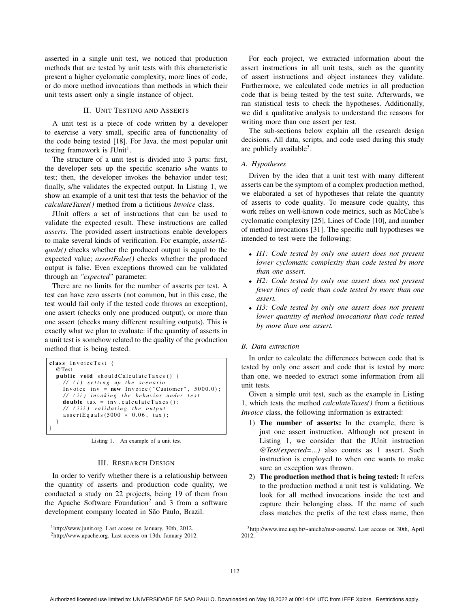asserted in a single unit test, we noticed that production methods that are tested by unit tests with this characteristic present a higher cyclomatic complexity, more lines of code, or do more method invocations than methods in which their unit tests assert only a single instance of object.

# II. UNIT TESTING AND ASSERTS

A unit test is a piece of code written by a developer to exercise a very small, specific area of functionality of the code being tested [18]. For Java, the most popular unit testing framework is  $JUnit<sup>1</sup>$ .

The structure of a unit test is divided into 3 parts: first, the developer sets up the specific scenario s/he wants to test; then, the developer invokes the behavior under test; finally, s/he validates the expected output. In Listing 1, we show an example of a unit test that tests the behavior of the *calculateTaxes()* method from a fictitious *Invoice* class.

JUnit offers a set of instructions that can be used to validate the expected result. These instructions are called *asserts*. The provided assert instructions enable developers to make several kinds of verification. For example, *assertEquals()* checks whether the produced output is equal to the expected value; *assertFalse()* checks whether the produced output is false. Even exceptions throwed can be validated through an *"expected"* parameter.

There are no limits for the number of asserts per test. A test can have zero asserts (not common, but in this case, the test would fail only if the tested code throws an exception), one assert (checks only one produced output), or more than one assert (checks many different resulting outputs). This is exactly what we plan to evaluate: if the quantity of asserts in a unit test is somehow related to the quality of the production method that is being tested.

```
class InvoiceTest {
  @Test
  public void shouldCalculateTaxes () {
    / / ( i ) s etti n g up the scenario
    Invoice inv = new Invoice ("Customer", 5000.0);
    // ( ii ) invoking the behavior under test
    double tax = inv . calculateTaxes () ;
    // ( iii ) validating the output
    assertEquals (5000 * 0.06, tax);}
}
```
Listing 1. An example of a unit test

# III. RESEARCH DESIGN

In order to verify whether there is a relationship between the quantity of asserts and production code quality, we conducted a study on 22 projects, being 19 of them from the Apache Software Foundation<sup>2</sup> and 3 from a software development company located in São Paulo, Brazil.

For each project, we extracted information about the assert instructions in all unit tests, such as the quantity of assert instructions and object instances they validate. Furthermore, we calculated code metrics in all production code that is being tested by the test suite. Afterwards, we ran statistical tests to check the hypotheses. Additionally, we did a qualitative analysis to understand the reasons for writing more than one assert per test.

The sub-sections below explain all the research design decisions. All data, scripts, and code used during this study are publicly available $3$ .

## *A. Hypotheses*

Driven by the idea that a unit test with many different asserts can be the symptom of a complex production method, we elaborated a set of hypotheses that relate the quantity of asserts to code quality. To measure code quality, this work relies on well-known code metrics, such as McCabe's cyclomatic complexity [25], Lines of Code [10], and number of method invocations [31]. The specific null hypotheses we intended to test were the following:

- *H1: Code tested by only one assert does not present lower cyclomatic complexity than code tested by more than one assert.*
- *H2: Code tested by only one assert does not present fewer lines of code than code tested by more than one assert.*
- *H3: Code tested by only one assert does not present lower quantity of method invocations than code tested by more than one assert.*

# *B. Data extraction*

In order to calculate the differences between code that is tested by only one assert and code that is tested by more than one, we needed to extract some information from all unit tests.

Given a simple unit test, such as the example in Listing 1, which tests the method *calculateTaxes()* from a fictitious *Invoice* class, the following information is extracted:

- 1) The number of asserts: In the example, there is just one assert instruction. Although not present in Listing 1, we consider that the JUnit instruction *@Test(expected=...)* also counts as 1 assert. Such instruction is employed to when one wants to make sure an exception was thrown.
- 2) The production method that is being tested: It refers to the production method a unit test is validating. We look for all method invocations inside the test and capture their belonging class. If the name of such class matches the prefix of the test class name, then

3http://www.ime.usp.br/~aniche/msr-asserts/. Last access on 30th, April 2012.

<sup>1</sup>http://www.junit.org. Last access on January, 30th, 2012.

<sup>2</sup>http://www.apache.org. Last access on 13th, January 2012.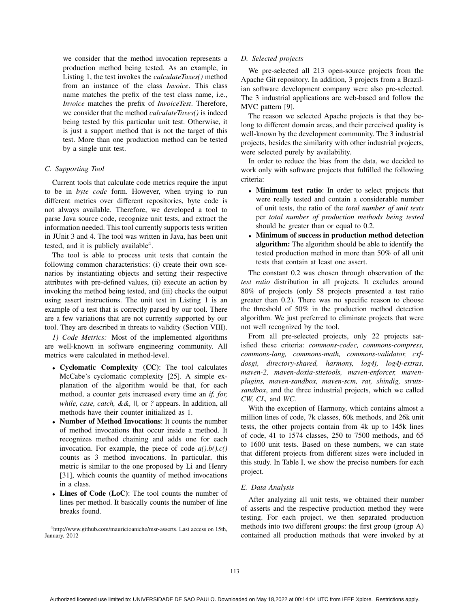we consider that the method invocation represents a production method being tested. As an example, in Listing 1, the test invokes the *calculateTaxes()* method from an instance of the class *Invoice*. This class name matches the prefix of the test class name, i.e., *Invoice* matches the prefix of *InvoiceTest*. Therefore, we consider that the method *calculateTaxes()* is indeed being tested by this particular unit test. Otherwise, it is just a support method that is not the target of this test. More than one production method can be tested by a single unit test.

# *C. Supporting Tool*

Current tools that calculate code metrics require the input to be in *byte code* form. However, when trying to run different metrics over different repositories, byte code is not always available. Therefore, we developed a tool to parse Java source code, recognize unit tests, and extract the information needed. This tool currently supports tests written in JUnit 3 and 4. The tool was written in Java, has been unit tested, and it is publicly available<sup>4</sup>.

The tool is able to process unit tests that contain the following common characteristics: (i) create their own scenarios by instantiating objects and setting their respective attributes with pre-defined values, (ii) execute an action by invoking the method being tested, and (iii) checks the output using assert instructions. The unit test in Listing 1 is an example of a test that is correctly parsed by our tool. There are a few variations that are not currently supported by our tool. They are described in threats to validity (Section VIII).

*1) Code Metrics:* Most of the implemented algorithms are well-known in software engineering community. All metrics were calculated in method-level.

- Cyclomatic Complexity (CC): The tool calculates McCabe's cyclomatic complexity [25]. A simple explanation of the algorithm would be that, for each method, a counter gets increased every time an *if, for, while, case, catch, &&, ||,* or *?* appears. In addition, all methods have their counter initialized as 1.
- Number of Method Invocations: It counts the number of method invocations that occur inside a method. It recognizes method chaining and adds one for each invocation. For example, the piece of code *a().b().c()* counts as 3 method invocations. In particular, this metric is similar to the one proposed by Li and Henry [31], which counts the quantity of method invocations in a class.
- Lines of Code (LoC): The tool counts the number of lines per method. It basically counts the number of line breaks found.

4http://www.github.com/mauricioaniche/msr-asserts. Last access on 15th, January, 2012

## *D. Selected projects*

We pre-selected all 213 open-source projects from the Apache Git repository. In addition, 3 projects from a Brazilian software development company were also pre-selected. The 3 industrial applications are web-based and follow the MVC pattern [9].

The reason we selected Apache projects is that they belong to different domain areas, and their perceived quality is well-known by the development community. The 3 industrial projects, besides the similarity with other industrial projects, were selected purely by availability.

In order to reduce the bias from the data, we decided to work only with software projects that fulfilled the following criteria:

- Minimum test ratio: In order to select projects that were really tested and contain a considerable number of unit tests, the ratio of the *total number of unit tests* per *total number of production methods being tested* should be greater than or equal to 0.2.
- Minimum of success in production method detection algorithm: The algorithm should be able to identify the tested production method in more than 50% of all unit tests that contain at least one assert.

The constant 0.2 was chosen through observation of the *test ratio* distribution in all projects. It excludes around 80% of projects (only 58 projects presented a test ratio greater than 0.2). There was no specific reason to choose the threshold of 50% in the production method detection algorithm. We just preferred to eliminate projects that were not well recognized by the tool.

From all pre-selected projects, only 22 projects satisfied these criteria: *commons-codec, commons-compress, commons-lang, commons-math, commons-validator, cxfdosgi, directory-shared, harmony, log4j, log4j-extras, maven-2, maven-doxia-sitetools, maven-enforcer, mavenplugins, maven-sandbox, maven-scm, rat, shindig, strutssandbox*, and the three industrial projects, which we called *CW, CL,* and *WC*.

With the exception of Harmony, which contains almost a million lines of code, 7k classes, 60k methods, and 26k unit tests, the other projects contain from 4k up to 145k lines of code, 41 to 1574 classes, 250 to 7500 methods, and 65 to 1600 unit tests. Based on these numbers, we can state that different projects from different sizes were included in this study. In Table I, we show the precise numbers for each project.

#### *E. Data Analysis*

After analyzing all unit tests, we obtained their number of asserts and the respective production method they were testing. For each project, we then separated production methods into two different groups: the first group (group A) contained all production methods that were invoked by at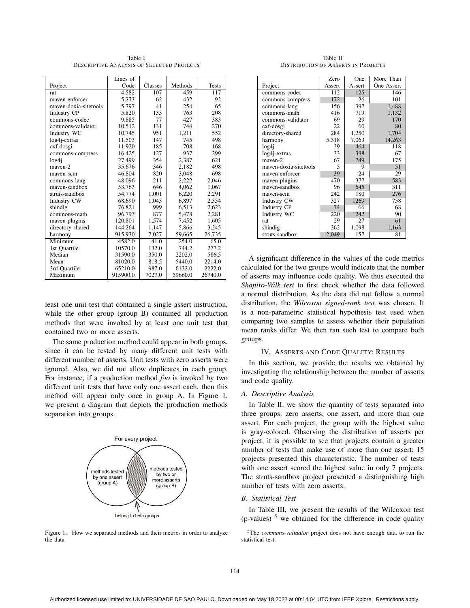Table I DESCRIPTIVE ANALYSIS OF SELECTED PROJECTS

|                       | Lines of |         |         |              |
|-----------------------|----------|---------|---------|--------------|
| Project               | Code     | Classes | Methods | <b>Tests</b> |
| rat                   | 4,582    | 107     | 459     | 117          |
| mayen-enforcer        | 5,273    | 62      | 432     | 92           |
| mayen-doxia-sitetools | 5,797    | 41      | 254     | 65           |
| Industry CP           | 5,820    | 135     | 763     | 208          |
| commons-codec         | 9.885    | 77      | 427     | 383          |
| commons-validator     | 10,512   | 131     | 744     | 270          |
| Industry WC           | 10,745   | 951     | 1,211   | 552          |
| log4j-extras          | 11,503   | 147     | 745     | 498          |
| cxf-dosgi             | 11,920   | 185     | 708     | 168          |
| commons-compress      | 16,425   | 127     | 937     | 299          |
| log4i                 | 27,499   | 354     | 2,387   | 621          |
| mayen-2               | 35.676   | 346     | 2,182   | 498          |
| maven-scm             | 46,804   | 820     | 3,048   | 698          |
| commons-lang          | 48.096   | 211     | 2,222   | 2,046        |
| mayen-sandbox         | 53,763   | 646     | 4,062   | 1,067        |
| struts-sandbox        | 54,774   | 1,001   | 6,220   | 2,291        |
| <b>Industry CW</b>    | 68.690   | 1.043   | 6.897   | 2,354        |
| shindig               | 76,821   | 999     | 6,513   | 2,623        |
| commons-math          | 96.793   | 877     | 5,478   | 2,281        |
| maven-plugins         | 120,801  | 1,574   | 7,452   | 1,605        |
| directory-shared      | 144,264  | 1,147   | 5,866   | 3,245        |
| harmony               | 915,930  | 7,027   | 59,665  | 26,735       |
| Minimum               | 4582.0   | 41.0    | 254.0   | 65.0         |
| 1st Quartile          | 10570.0  | 132.0   | 744.2   | 277.2        |
| Median                | 31590.0  | 350.0   | 2202.0  | 586.5        |
| Mean                  | 81020.0  | 818.5   | 5440.0  | 2214.0       |
| 3rd Quartile          | 65210.0  | 987.0   | 6132.0  | 2222.0       |
| Maximum               | 915900.0 | 7027.0  | 59660.0 | 26740.0      |

least one unit test that contained a single assert instruction, while the other group (group B) contained all production methods that were invoked by at least one unit test that contained two or more asserts.

The same production method could appear in both groups, since it can be tested by many different unit tests with different number of asserts. Unit tests with zero asserts were ignored. Also, we did not allow duplicates in each group. For instance, if a production method *foo* is invoked by two different unit tests that have only one assert each, then this method will appear only once in group A. In Figure 1, we present a diagram that depicts the production methods separation into groups.



Figure 1. How we separated methods and their metrics in order to analyze the data

Table II DISTRIBUTION OF ASSERTS IN PROJECTS

|                         | Zero   | One    | More Than  |
|-------------------------|--------|--------|------------|
| Project                 | Assert | Assert | One Assert |
| commons-codec           | 112    | 125    | 146        |
| commons-compress        | 172    | 26     | 101        |
| commons-lang            | 156    | 397    | 1,488      |
| commons-math            | 416    | 719    | 1,132      |
| commons-validator       | 69     | 29     | 170        |
| cxf-dosgi               | 22     | 60     | 80         |
| directory-shared        | 284    | 1,250  | 1,704      |
| harmony                 | 5,318  | 7,063  | 14,263     |
| log4i                   | 39     | 464    | 118        |
| $log4$ <i>j</i> -extras | 33     | 398    | 67         |
| mayen-2                 | 67     | 249    | 175        |
| mayen-doxia-sitetools   | 5      | 9      | 51         |
| maven-enforcer          | 39     | 24     | 29         |
| maven-plugins           | 470    | 377    | 583        |
| maven-sandbox           | 96     | 645    | 311        |
| maven-scm               | 242    | 180    | 276        |
| Industry CW             | 327    | 1269   | 758        |
| <b>Industry CP</b>      | 74     | 66     | 68         |
| Industry WC             | 220    | 242    | 90         |
| rat                     | 29     | 27     | 61         |
| shindig                 | 362    | 1,098  | 1,163      |
| struts-sandbox          | 2,049  | 157    | 81         |

A significant difference in the values of the code metrics calculated for the two groups would indicate that the number of asserts may influence code quality. We thus executed the *Shapiro-Wilk test* to first check whether the data followed a normal distribution. As the data did not follow a normal distribution, the *Wilcoxon signed-rank test* was chosen. It is a non-parametric statistical hypothesis test used when comparing two samples to assess whether their population mean ranks differ. We then ran such test to compare both groups.

# IV. ASSERTS AND CODE QUALITY: RESULTS

In this section, we provide the results we obtained by investigating the relationship between the number of asserts and code quality.

## *A. Descriptive Analysis*

In Table II, we show the quantity of tests separated into three groups: zero asserts, one assert, and more than one assert. For each project, the group with the highest value is gray-colored. Observing the distribution of asserts per project, it is possible to see that projects contain a greater number of tests that make use of more than one assert: 15 projects presented this characteristic. The number of tests with one assert scored the highest value in only 7 projects. The struts-sandbox project presented a distinguishing high number of tests with zero asserts.

## *B. Statistical Test*

In Table III, we present the results of the Wilcoxon test  $(p$ -values)<sup>5</sup> we obtained for the difference in code quality

5The *commons-validator* project does not have enough data to run the statistical test.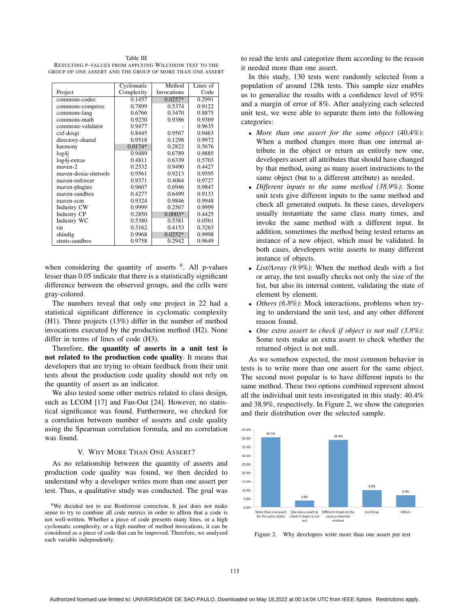Table III RESULTING P-VALUES FROM APPLYING WILCOXON TEST TO THE GROUP OF ONE ASSERT AND THE GROUP OF MORE THAN ONE ASSERT

|                         | Cyclomatic | Method      | Lines of |
|-------------------------|------------|-------------|----------|
| Project                 | Complexity | Invocations | Code     |
| commons-codec           | 0.1457     | $0.0257*$   | 0.2991   |
| commons-compress        | 0.7899     | 0.5374      | 0.9122   |
| commons-lang            | 0.6766     | 0.3470      | 0.8875   |
| commons-math            | 0.9230     | 0.9386      | 0.9369   |
| commons-validator       | 0.9477     |             | 0.9635   |
| cxf-dosgi               | 0.8445     | 0.9567      | 0.9463   |
| directory-shared        | 0.9518     | 0.1298      | 0.9972   |
| harmony                 | $0.0174*$  | 0.2822      | 0.5676   |
| log4 <sub>i</sub>       | 0.9489     | 0.6789      | 0.9885   |
| $log4$ <i>j</i> -extras | 0.4811     | 0.6339      | 0.5703   |
| mayen-2                 | 0.2532     | 0.9490      | 0.4427   |
| mayen-doxia-sitetools   | 0.9561     | 0.9213      | 0.9595   |
| maven-enforcer          | 0.9371     | 0.4064      | 0.9727   |
| maven-plugins           | 0.9607     | 0.6946      | 0.9847   |
| mayen-sandbox           | 0.4277     | 0.6499      | 0.9133   |
| mayen-scm               | 0.9324     | 0.9846      | 0.9948   |
| Industry CW             | 0.9999     | 0.2567      | 0.9999   |
| Industry CP             | 0.2850     | $0.0003*$   | 0.4425   |
| Industry WC             | 0.5380     | 0.5381      | 0.0561   |
| rat                     | 0.3162     | 0.4153      | 0.3263   |
| shindig                 | 0.9968     | $0.0252*$   | 0.9998   |
| struts-sandbox          | 0.9758     | 0.2942      | 0.9649   |

when considering the quantity of asserts  $<sup>6</sup>$ . All p-values</sup> lesser than 0.05 indicate that there is a statistically significant difference between the observed groups, and the cells were gray-colored.

The numbers reveal that only one project in 22 had a statistical significant difference in cyclomatic complexity (H1). Three projects (13%) differ in the number of method invocations executed by the production method (H2). None differ in terms of lines of code (H3).

Therefore, the quantity of asserts in a unit test is not related to the production code quality. It means that developers that are trying to obtain feedback from their unit tests about the production code quality should not rely on the quantity of assert as an indicator.

We also tested some other metrics related to class design, such as LCOM [17] and Fan-Out [24]. However, no statistical significance was found. Furthermore, we checked for a correlation between number of asserts and code quality using the Spearman correlation formula, and no correlation was found.

### V. WHY MORE THAN ONE ASSERT?

As no relationship between the quantity of asserts and production code quality was found, we then decided to understand why a developer writes more than one assert per test. Thus, a qualitative study was conducted. The goal was

6We decided not to use Bonferroni correction. It just does not make sense to try to combine all code metrics in order to affirm that a code is not well-written. Whether a piece of code presents many lines, or a high cyclomatic complexity, or a high number of method invocations, it can be considered as a piece of code that can be improved. Therefore, we analyzed each variable independently.

to read the tests and categorize them according to the reason it needed more than one assert.

In this study, 130 tests were randomly selected from a population of around 128k tests. This sample size enables us to generalize the results with a confidence level of 95% and a margin of error of 8%. After analyzing each selected unit test, we were able to separate them into the following categories:

- *More than one assert for the same object* (40.4%): When a method changes more than one internal attribute in the object or return an entirely new one, developers assert all attributes that should have changed by that method, using as many assert instructions to the same object (but to a different attribute) as needed.
- *Different inputs to the same method (38.9%)*: Some unit tests give different inputs to the same method and check all generated outputs. In these cases, developers usually instantiate the same class many times, and invoke the same method with a different input. In addition, sometimes the method being tested returns an instance of a new object, which must be validated. In both cases, developers write asserts to many different instance of objects.
- *List/Array (9.9%)*: When the method deals with a list or array, the test usually checks not only the size of the list, but also its internal content, validating the state of element by element.
- *Others (6.8%)*: Mock interactions, problems when trying to understand the unit test, and any other different reason found.
- *One extra assert to check if object is not null (3.8%)*: Some tests make an extra assert to check whether the returned object is not null.

As we somehow expected, the most common behavior in tests is to write more than one assert for the same object. The second most popular is to have different inputs to the same method. These two options combined represent almost all the individual unit tests investigated in this study: 40.4% and 38.9%, respectively. In Figure 2, we show the categories and their distribution over the selected sample.



Figure 2. Why developers write more than one assert per test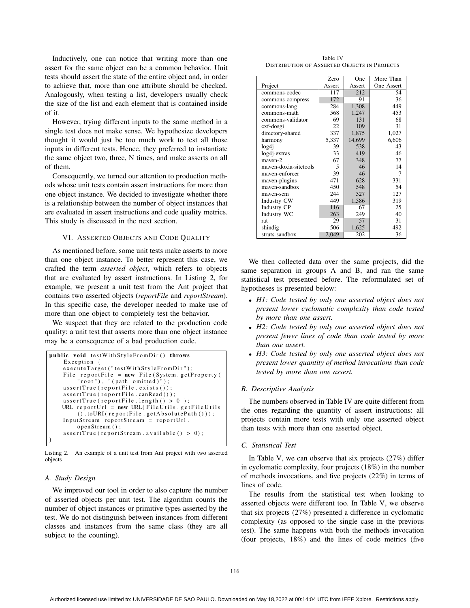Inductively, one can notice that writing more than one assert for the same object can be a common behavior. Unit tests should assert the state of the entire object and, in order to achieve that, more than one attribute should be checked. Analogously, when testing a list, developers usually check the size of the list and each element that is contained inside of it.

However, trying different inputs to the same method in a single test does not make sense. We hypothesize developers thought it would just be too much work to test all those inputs in different tests. Hence, they preferred to instantiate the same object two, three, N times, and make asserts on all of them.

Consequently, we turned our attention to production methods whose unit tests contain assert instructions for more than one object instance. We decided to investigate whether there is a relationship between the number of object instances that are evaluated in assert instructions and code quality metrics. This study is discussed in the next section.

## VI. ASSERTED OBJECTS AND CODE QUALITY

As mentioned before, some unit tests make asserts to more than one object instance. To better represent this case, we crafted the term *asserted object*, which refers to objects that are evaluated by assert instructions. In Listing 2, for example, we present a unit test from the Ant project that contains two asserted objects (*reportFile* and *reportStream*). In this specific case, the developer needed to make use of more than one object to completely test the behavior.

We suspect that they are related to the production code quality: a unit test that asserts more than one object instance may be a consequence of a bad production code.

```
public void testWithStyleFromDir () throws
    Exception {
    executeTarget ("testWithStyleFromDir") ;
    File reportFile = new File (System . getProperty (
         'root'), "(path omitted)");
    assertTrue ( reportFile . exists () );
    assertTrue (reportFile.canRead());
    assertTrue (\text{reportFile}. length () > 0 );
   URL reportUrl = new URL (FileUtils . getFileUtils
        ( ). toURI(reportFile.getAbsolutePath( )));
    InputStream reportStream = reportUrl.
        openStream () ;
    assertTrue ( reportStream . available () > 0) ;
}
```
Listing 2. An example of a unit test from Ant project with two asserted objects

#### *A. Study Design*

We improved our tool in order to also capture the number of asserted objects per unit test. The algorithm counts the number of object instances or primitive types asserted by the test. We do not distinguish between instances from different classes and instances from the same class (they are all subject to the counting).

Table IV DISTRIBUTION OF ASSERTED OBJECTS IN PROJECTS

|                       | Zero   | One    | More Than  |
|-----------------------|--------|--------|------------|
| Project               | Assert | Assert | One Assert |
| commons-codec         | 117    | 212    | 54         |
| commons-compress      | 172    | 91     | 36         |
| commons-lang          | 284    | 1,308  | 449        |
| commons-math          | 568    | 1,247  | 453        |
| commons-validator     | 69     | 131    | 68         |
| cxf-dosgi             | 22     | 109    | 31         |
| directory-shared      | 337    | 1,875  | 1,027      |
| harmony               | 5,337  | 14,699 | 6,606      |
| log4j                 | 39     | 538    | 43         |
| log4j-extras          | 33     | 419    | 46         |
| mayen-2               | 67     | 348    | 77         |
| maven-doxia-sitetools | 5      | 46     | 14         |
| maven-enforcer        | 39     | 46     | 7          |
| maven-plugins         | 471    | 628    | 331        |
| maven-sandbox         | 450    | 548    | 54         |
| maven-scm             | 244    | 327    | 127        |
| Industry CW           | 449    | 1,586  | 319        |
| Industry CP           | 116    | 67     | 25         |
| Industry WC           | 263    | 249    | 40         |
| rat                   | 29     | 57     | 31         |
| shindig               | 506    | 1,625  | 492        |
| struts-sandbox        | 2,049  | 202    | 36         |

We then collected data over the same projects, did the same separation in groups A and B, and ran the same statistical test presented before. The reformulated set of hypotheses is presented below:

- *H1: Code tested by only one asserted object does not present lower cyclomatic complexity than code tested by more than one assert.*
- *H2: Code tested by only one asserted object does not present fewer lines of code than code tested by more than one assert.*
- *H3: Code tested by only one asserted object does not present lower quantity of method invocations than code tested by more than one assert.*

#### *B. Descriptive Analysis*

The numbers observed in Table IV are quite different from the ones regarding the quantity of assert instructions: all projects contain more tests with only one asserted object than tests with more than one asserted object.

#### *C. Statistical Test*

In Table V, we can observe that six projects (27%) differ in cyclomatic complexity, four projects (18%) in the number of methods invocations, and five projects (22%) in terms of lines of code.

The results from the statistical test when looking to asserted objects were different too. In Table V, we observe that six projects (27%) presented a difference in cyclomatic complexity (as opposed to the single case in the previous test). The same happens with both the methods invocation (four projects, 18%) and the lines of code metrics (five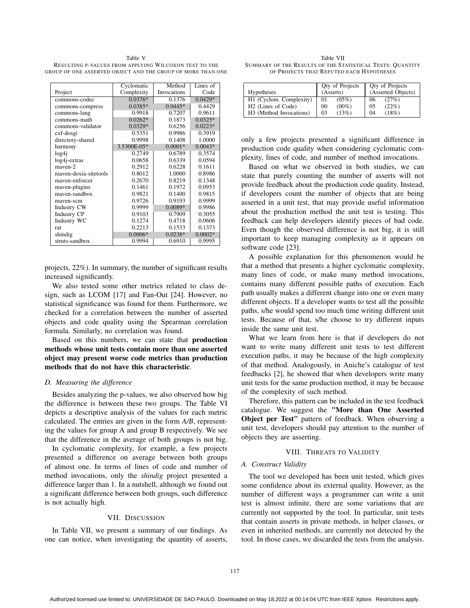Table V RESULTING P-VALUES FROM APPLYING WILCOXON TEST TO THE GROUP OF ONE ASSERTED OBJECT AND THE GROUP OF MORE THAN ONE

|                         | Cyclomatic  | Method      | Lines of  |
|-------------------------|-------------|-------------|-----------|
| Project                 | Complexity  | Invocations | Code      |
| commons-codec           | $0.0376*$   | 0.1376      | $0.0429*$ |
| commons-compress        | $0.0385*$   | $0.0445*$   | 0.4429    |
| commons-lang            | 0.9918      | 0.7207      | 0.9611    |
| commons-math            | $0.0262*$   | 0.1873      | $0.0325*$ |
| commons-validator       | $0.0329*$   | 0.6256      | $0.0223*$ |
| cxf-dosgi               | 0.5351      | 0.9986      | 0.3919    |
| directory-shared        | 0.9998      | 0.1408      | 1.0000    |
| harmony                 | 3.5300E-05* | $0.0001*$   | $0.0043*$ |
| log4 <sub>i</sub>       | 0.2749      | 0.6789      | 0.3574    |
| $log4$ <i>j</i> -extras | 0.0658      | 0.6339      | 0.0594    |
| maven-2                 | 0.2912      | 0.6228      | 0.1611    |
| mayen-doxia-sitetools   | 0.8012      | 1.0000      | 0.8986    |
| maven-enforcer          | 0.2670      | 0.8219      | 0.1348    |
| maven-plugins           | 0.1461      | 0.1972      | 0.0953    |
| maven-sandbox           | 0.9821      | 0.1400      | 0.9815    |
| mayen-scm               | 0.9726      | 0.9193      | 0.9999    |
| <b>Industry CW</b>      | 0.9999      | $0.0089*$   | 0.9986    |
| <b>Industry CP</b>      | 0.9103      | 0.7909      | 0.3055    |
| Industry WC             | 0.1274      | 0.4718      | 0.0606    |
| rat                     | 0.2213      | 0.1533      | 0.1373    |
| shindig                 | $0.0006*$   | $0.0238*$   | $0.0002*$ |
| struts-sandbox          | 0.9994      | 0.6910      | 0.9995    |

projects, 22%). In summary, the number of significant results increased significantly.

We also tested some other metrics related to class design, such as LCOM [17] and Fan-Out [24]. However, no statistical significance was found for them. Furthermore, we checked for a correlation between the number of asserted objects and code quality using the Spearman correlation formula. Similarly, no correlation was found.

Based on this numbers, we can state that production methods whose unit tests contain more than one asserted object may present worse code metrics than production methods that do not have this characteristic.

## *D. Measuring the difference*

Besides analyzing the p-values, we also observed how big the difference is between these two groups. The Table VI depicts a descriptive analysis of the values for each metric calculated. The entries are given in the form *A/B*, representing the values for group A and group B respectively. We see that the difference in the average of both groups is not big.

In cyclomatic complexity, for example, a few projects presented a difference on average between both groups of almost one. In terms of lines of code and number of method invocations, only the *shindig* project presented a difference larger than 1. In a nutshell, although we found out a significant difference between both groups, such difference is not actually high.

## VII. DISCUSSION

In Table VII, we present a summary of our findings. As one can notice, when investigating the quantity of asserts,

Table VII SUMMARY OF THE RESULTS OF THE STATISTICAL TESTS: QUANTITY OF PROJECTS THAT REFUTED EACH HYPOTHESES

| <b>Hypotheses</b>              | Qty of Projects<br>(Asserts) | <b>Qty of Projects</b><br>(Asserted Objects) |
|--------------------------------|------------------------------|----------------------------------------------|
| H1 (Cyclom. Complexity)        | $(05\%)$<br>01               | (27%)<br>06                                  |
| H <sub>2</sub> (Lines of Code) | $(00\%)$<br>0 <sup>0</sup>   | (22%)<br>05                                  |
| H3 (Method Invocations)        | (13%)<br>03                  | (18%)<br>04                                  |

only a few projects presented a significant difference in production code quality when considering cyclomatic complexity, lines of code, and number of method invocations.

Based on what we observed in both studies, we can state that purely counting the number of asserts will not provide feedback about the production code quality. Instead, if developers count the number of objects that are being asserted in a unit test, that may provide useful information about the production method the unit test is testing. This feedback can help developers identify pieces of bad code. Even though the observed difference is not big, it is still important to keep managing complexity as it appears on software code [23].

A possible explanation for this phenomenon would be that a method that presents a higher cyclomatic complexity, many lines of code, or make many method invocations, contains many different possible paths of execution. Each path usually makes a different change into one or even many different objects. If a developer wants to test all the possible paths, s/he would spend too much time writing different unit tests. Because of that, s/he choose to try different inputs inside the same unit test.

What we learn from here is that if developers do not want to write many different unit tests to test different execution paths, it may be because of the high complexity of that method. Analogously, in Aniche's catalogue of test feedbacks [2], he showed that when developers write many unit tests for the same production method, it may be because of the complexity of such method.

Therefore, this pattern can be included in the test feedback catalogue. We suggest the "More than One Asserted Object per Test" pattern of feedback. When observing a unit test, developers should pay attention to the number of objects they are asserting.

# VIII. THREATS TO VALIDITY

## *A. Construct Validity*

The tool we developed has been unit tested, which gives some confidence about its external quality. However, as the number of different ways a programmer can write a unit test is almost infinite, there are some variations that are currently not supported by the tool. In particular, unit tests that contain asserts in private methods, in helper classes, or even in inherited methods, are currently not detected by the tool. In those cases, we discarded the tests from the analysis.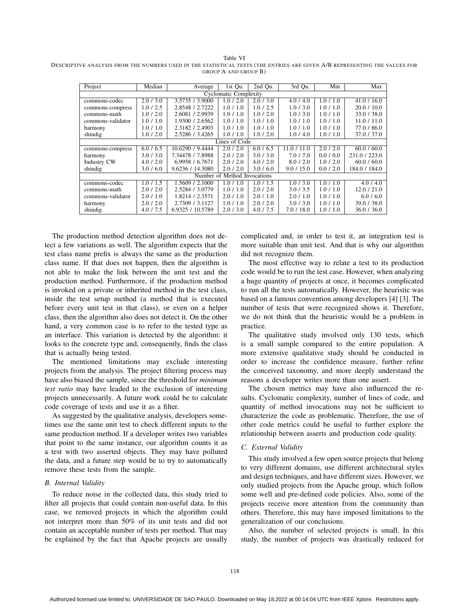Table VI DESCRIPTIVE ANALYSIS FROM THE NUMBERS USED IN THE STATISTICAL TESTS (THE ENTRIES ARE GIVEN A/B REPRESENTING THE VALUES FOR GROUP A AND GROUP B)

| Project                      | Median    | Average          | 1st Qu.       | 2nd Qu.   | 3rd Qu.     | Min       | Max           |
|------------------------------|-----------|------------------|---------------|-----------|-------------|-----------|---------------|
| <b>Cyclomatic Complexity</b> |           |                  |               |           |             |           |               |
| commons-codec                | 2.0/3.0   | 3.5735 / 3.9000  | 1.0 / 2.0     | 2.0/3.0   | 4.0/4.0     | 1.0 / 1.0 | 41.0 / 16.0   |
| commons-compress             | 1.0 / 2.5 | 2.8548 / 2.7222  | 1.0 / 1.0     | 1.0 / 2.5 | 1.0/3.0     | 1.0 / 1.0 | 20.0 / 10.0   |
| commons-math                 | 1.0 / 2.0 | 2.6081 / 2.9939  | 1.0/1.0       | 1.0 / 2.0 | 1.0/3.0     | 1.0/1.0   | 33.0 / 38.0   |
| commons-validator            | 1.0 / 1.0 | 1.9300 / 2.6562  | 1.0 / 1.0     | 1.0 / 1.0 | 1.0 / 1.0   | 1.0 / 1.0 | 11.0 / 11.0   |
| harmony                      | 1.0 / 1.0 | 2.3182 / 2.4903  | 1.0/1.0       | 1.0 / 1.0 | 1.0/1.0     | 1.0 / 1.0 | 77.0 / 86.0   |
| shindig                      | 1.0 / 2.0 | 2.5286 / 3.4265  | 1.0 / 1.0     | 1.0 / 2.0 | 1.0/4.0     | 1.0 / 1.0 | 37.0 / 37.0   |
|                              |           |                  | Lines of Code |           |             |           |               |
| commons-compress             | 6.0 / 6.5 | 10.6290 / 9.4444 | 2.0/2.0       | 6.0 / 6.5 | 11.0 / 11.0 | 2.0 / 2.0 | 60.0 / 60.0   |
| harmony                      | 3.0 / 3.0 | 7.34478 / 7.8988 | 2.0/2.0       | 3.0 / 3.0 | 7.0/7.0     | 0.0 / 0.0 | 231.0 / 223.0 |
| <b>Industry CW</b>           | 4.0 / 2.0 | 6.9958 / 6.7671  | 2.0/2.0       | 4.0 / 2.0 | 8.0 / 2.0   | 1.0 / 2.0 | 60.0 / 60.0   |
| shindig                      | 3.0 / 6.0 | 9.6236 / 14.3080 | 2.0/2.0       | 3.0 / 6.0 | 9.0 / 15.0  | 0.0 / 2.0 | 184.0 / 184.0 |
| Number of Method Invocations |           |                  |               |           |             |           |               |
| commons-codec                | 1.0/1.5   | 1.5609 / 2.1000  | 1.0/1.0       | 1.0/1.5   | 1.0/3.0     | 1.0 / 1.0 | 4.0 / 4.0     |
| commons-math                 | 2.0 / 2.0 | 2.5284 / 3.0779  | 1.0 / 1.0     | 2.0 / 2.0 | 3.0 / 3.5   | 1.0 / 1.0 | 12.0 / 21.0   |
| commons-validator            | 2.0/1.0   | 1.8214 / 2.3571  | 2.0/1.0       | 2.0/1.0   | 2.0/1.0     | 1.0 / 1.0 | 6.0 / 6.0     |
| harmony                      | 2.0/2.0   | 2.7309 / 3.1127  | 1.0/1.0       | 2.0/2.0   | 3.0 / 3.0   | 1.0/1.0   | 39.0 / 38.0   |
| shindig                      | 4.0 / 7.5 | 6.9325 / 10.5789 | 2.0/3.0       | 4.0 / 7.5 | 7.0 / 18.0  | 1.0 / 1.0 | 36.0 / 36.0   |

The production method detection algorithm does not detect a few variations as well. The algorithm expects that the test class name prefix is always the same as the production class name. If that does not happen, then the algorithm is not able to make the link between the unit test and the production method. Furthermore, if the production method is invoked on a private or inherited method in the test class, inside the test setup method (a method that is executed before every unit test in that class), or even on a helper class, then the algorithm also does not detect it. On the other hand, a very common case is to refer to the tested type as an interface. This variation is detected by the algorithm: it looks to the concrete type and, consequently, finds the class that is actually being tested.

The mentioned limitations may exclude interesting projects from the analysis. The project filtering process may have also biased the sample, since the threshold for *minimum test ratio* may have leaded to the exclusion of interesting projects unnecessarily. A future work could be to calculate code coverage of tests and use it as a filter.

As suggested by the qualitative analysis, developers sometimes use the same unit test to check different inputs to the same production method. If a developer writes two variables that point to the same instance, our algorithm counts it as a test with two asserted objects. They may have polluted the data, and a future step would be to try to automatically remove these tests from the sample.

## *B. Internal Validity*

To reduce noise in the collected data, this study tried to filter all projects that could contain non-useful data. In this case, we removed projects in which the algorithm could not interpret more than 50% of its unit tests and did not contain an acceptable number of tests per method. That may be explained by the fact that Apache projects are usually complicated and, in order to test it, an integration test is more suitable than unit test. And that is why our algorithm did not recognize them.

The most effective way to relate a test to its production code would be to run the test case. However, when analyzing a huge quantity of projects at once, it becomes complicated to run all the tests automatically. However, the heuristic was based on a famous convention among developers [4] [3]. The number of tests that were recognized shows it. Therefore, we do not think that the heuristic would be a problem in practice.

The qualitative study involved only 130 tests, which is a small sample compared to the entire population. A more extensive qualitative study should be conducted in order to increase the confidence measure, further refine the conceived taxonomy, and more deeply understand the reasons a developer writes more than one assert.

The chosen metrics may have also influenced the results. Cyclomatic complexity, number of lines of code, and quantity of method invocations may not be sufficient to characterize the code as problematic. Therefore, the use of other code metrics could be useful to further explore the relationship between asserts and production code quality.

#### *C. External Validity*

This study involved a few open source projects that belong to very different domains, use different architectural styles and design techniques, and have different sizes. However, we only studied projects from the Apache group, which follow some well and pre-defined code policies. Also, some of the projects receive more attention from the community than others. Therefore, this may have imposed limitations to the generalization of our conclusions.

Also, the number of selected projects is small. In this study, the number of projects was drastically reduced for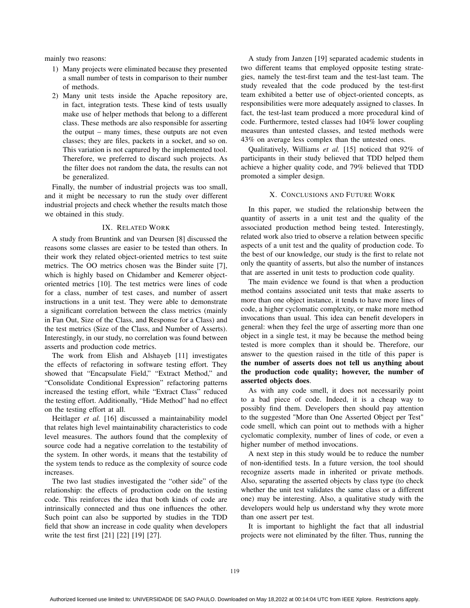mainly two reasons:

- 1) Many projects were eliminated because they presented a small number of tests in comparison to their number of methods.
- 2) Many unit tests inside the Apache repository are, in fact, integration tests. These kind of tests usually make use of helper methods that belong to a different class. These methods are also responsible for asserting the output – many times, these outputs are not even classes; they are files, packets in a socket, and so on. This variation is not captured by the implemented tool. Therefore, we preferred to discard such projects. As the filter does not random the data, the results can not be generalized.

Finally, the number of industrial projects was too small, and it might be necessary to run the study over different industrial projects and check whether the results match those we obtained in this study.

## IX. RELATED WORK

A study from Bruntink and van Deursen [8] discussed the reasons some classes are easier to be tested than others. In their work they related object-oriented metrics to test suite metrics. The OO metrics chosen was the Binder suite [7], which is highly based on Chidamber and Kemerer objectoriented metrics [10]. The test metrics were lines of code for a class, number of test cases, and number of assert instructions in a unit test. They were able to demonstrate a significant correlation between the class metrics (mainly in Fan Out, Size of the Class, and Response for a Class) and the test metrics (Size of the Class, and Number of Asserts). Interestingly, in our study, no correlation was found between asserts and production code metrics.

The work from Elish and Alshayeb [11] investigates the effects of refactoring in software testing effort. They showed that "Encapsulate Field," "Extract Method," and "Consolidate Conditional Expression" refactoring patterns increased the testing effort, while "Extract Class" reduced the testing effort. Additionally, "Hide Method" had no effect on the testing effort at all.

Heitlager *et al.* [16] discussed a maintainability model that relates high level maintainability characteristics to code level measures. The authors found that the complexity of source code had a negative correlation to the testability of the system. In other words, it means that the testability of the system tends to reduce as the complexity of source code increases.

The two last studies investigated the "other side" of the relationship: the effects of production code on the testing code. This reinforces the idea that both kinds of code are intrinsically connected and thus one influences the other. Such point can also be supported by studies in the TDD field that show an increase in code quality when developers write the test first [21] [22] [19] [27].

A study from Janzen [19] separated academic students in two different teams that employed opposite testing strategies, namely the test-first team and the test-last team. The study revealed that the code produced by the test-first team exhibited a better use of object-oriented concepts, as responsibilities were more adequately assigned to classes. In fact, the test-last team produced a more procedural kind of code. Furthermore, tested classes had 104% lower coupling measures than untested classes, and tested methods were 43% on average less complex than the untested ones.

Qualitatively, Williams *et al.* [15] noticed that 92% of participants in their study believed that TDD helped them achieve a higher quality code, and 79% believed that TDD promoted a simpler design.

# X. CONCLUSIONS AND FUTURE WORK

In this paper, we studied the relationship between the quantity of asserts in a unit test and the quality of the associated production method being tested. Interestingly, related work also tried to observe a relation between specific aspects of a unit test and the quality of production code. To the best of our knowledge, our study is the first to relate not only the quantity of asserts, but also the number of instances that are asserted in unit tests to production code quality.

The main evidence we found is that when a production method contains associated unit tests that make asserts to more than one object instance, it tends to have more lines of code, a higher cyclomatic complexity, or make more method invocations than usual. This idea can benefit developers in general: when they feel the urge of asserting more than one object in a single test, it may be because the method being tested is more complex than it should be. Therefore, our answer to the question raised in the title of this paper is the number of asserts does not tell us anything about the production code quality; however, the number of asserted objects does.

As with any code smell, it does not necessarily point to a bad piece of code. Indeed, it is a cheap way to possibly find them. Developers then should pay attention to the suggested "More than One Asserted Object per Test" code smell, which can point out to methods with a higher cyclomatic complexity, number of lines of code, or even a higher number of method invocations.

A next step in this study would be to reduce the number of non-identified tests. In a future version, the tool should recognize asserts made in inherited or private methods. Also, separating the asserted objects by class type (to check whether the unit test validates the same class or a different one) may be interesting. Also, a qualitative study with the developers would help us understand why they wrote more than one assert per test.

It is important to highlight the fact that all industrial projects were not eliminated by the filter. Thus, running the